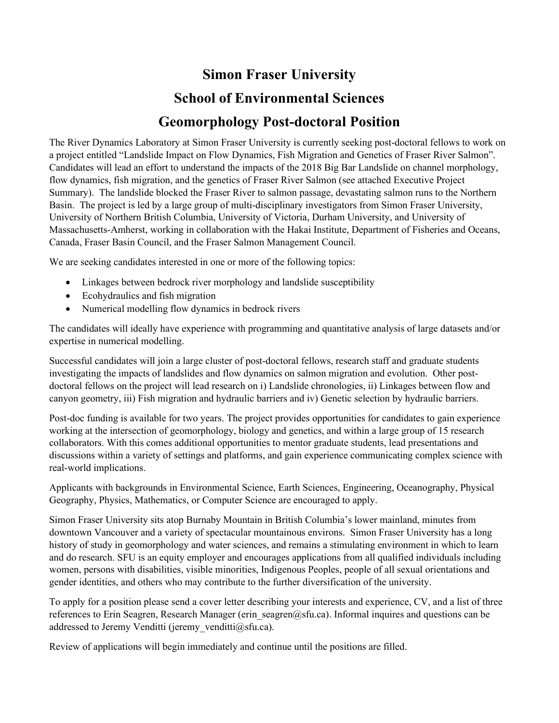# **Simon Fraser University School of Environmental Sciences Geomorphology Post-doctoral Position**

The River Dynamics Laboratory at Simon Fraser University is currently seeking post-doctoral fellows to work on a project entitled "Landslide Impact on Flow Dynamics, Fish Migration and Genetics of Fraser River Salmon". Candidates will lead an effort to understand the impacts of the 2018 Big Bar Landslide on channel morphology, flow dynamics, fish migration, and the genetics of Fraser River Salmon (see attached Executive Project Summary). The landslide blocked the Fraser River to salmon passage, devastating salmon runs to the Northern Basin. The project is led by a large group of multi-disciplinary investigators from Simon Fraser University, University of Northern British Columbia, University of Victoria, Durham University, and University of Massachusetts-Amherst, working in collaboration with the Hakai Institute, Department of Fisheries and Oceans, Canada, Fraser Basin Council, and the Fraser Salmon Management Council.

We are seeking candidates interested in one or more of the following topics:

- Linkages between bedrock river morphology and landslide susceptibility
- Ecohydraulics and fish migration
- Numerical modelling flow dynamics in bedrock rivers

The candidates will ideally have experience with programming and quantitative analysis of large datasets and/or expertise in numerical modelling.

Successful candidates will join a large cluster of post-doctoral fellows, research staff and graduate students investigating the impacts of landslides and flow dynamics on salmon migration and evolution. Other postdoctoral fellows on the project will lead research on i) Landslide chronologies, ii) Linkages between flow and canyon geometry, iii) Fish migration and hydraulic barriers and iv) Genetic selection by hydraulic barriers.

Post-doc funding is available for two years. The project provides opportunities for candidates to gain experience working at the intersection of geomorphology, biology and genetics, and within a large group of 15 research collaborators. With this comes additional opportunities to mentor graduate students, lead presentations and discussions within a variety of settings and platforms, and gain experience communicating complex science with real-world implications.

Applicants with backgrounds in Environmental Science, Earth Sciences, Engineering, Oceanography, Physical Geography, Physics, Mathematics, or Computer Science are encouraged to apply.

Simon Fraser University sits atop Burnaby Mountain in British Columbia's lower mainland, minutes from downtown Vancouver and a variety of spectacular mountainous environs. Simon Fraser University has a long history of study in geomorphology and water sciences, and remains a stimulating environment in which to learn and do research. SFU is an equity employer and encourages applications from all qualified individuals including women, persons with disabilities, visible minorities, Indigenous Peoples, people of all sexual orientations and gender identities, and others who may contribute to the further diversification of the university.

To apply for a position please send a cover letter describing your interests and experience, CV, and a list of three references to Erin Seagren, Research Manager (erin seagren@sfu.ca). Informal inquires and questions can be addressed to Jeremy Venditti (jeremy venditti $@s$ fu.ca).

Review of applications will begin immediately and continue until the positions are filled.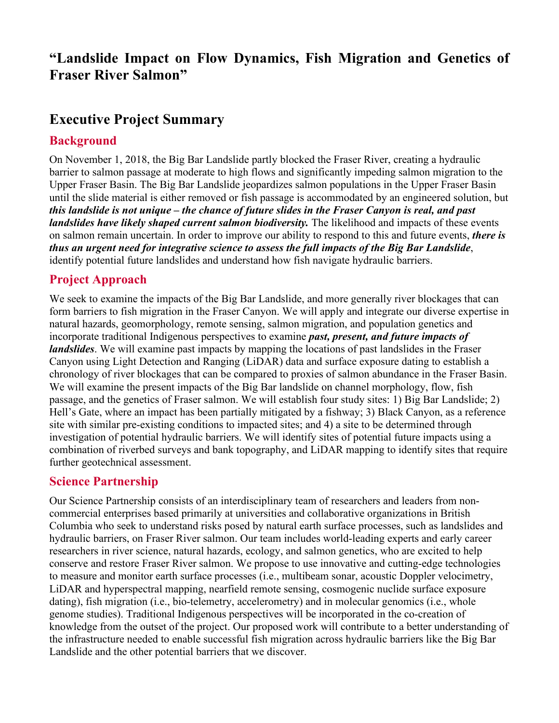## **"Landslide Impact on Flow Dynamics, Fish Migration and Genetics of Fraser River Salmon"**

# **Executive Project Summary**

#### **Background**

On November 1, 2018, the Big Bar Landslide partly blocked the Fraser River, creating a hydraulic barrier to salmon passage at moderate to high flows and significantly impeding salmon migration to the Upper Fraser Basin. The Big Bar Landslide jeopardizes salmon populations in the Upper Fraser Basin until the slide material is either removed or fish passage is accommodated by an engineered solution, but *this landslide is not unique – the chance of future slides in the Fraser Canyon is real, and past landslides have likely shaped current salmon biodiversity.* The likelihood and impacts of these events on salmon remain uncertain. In order to improve our ability to respond to this and future events, *there is thus an urgent need for integrative science to assess the full impacts of the Big Bar Landslide*, identify potential future landslides and understand how fish navigate hydraulic barriers.

### **Project Approach**

We seek to examine the impacts of the Big Bar Landslide, and more generally river blockages that can form barriers to fish migration in the Fraser Canyon. We will apply and integrate our diverse expertise in natural hazards, geomorphology, remote sensing, salmon migration, and population genetics and incorporate traditional Indigenous perspectives to examine *past, present, and future impacts of landslides*. We will examine past impacts by mapping the locations of past landslides in the Fraser Canyon using Light Detection and Ranging (LiDAR) data and surface exposure dating to establish a chronology of river blockages that can be compared to proxies of salmon abundance in the Fraser Basin. We will examine the present impacts of the Big Bar landslide on channel morphology, flow, fish passage, and the genetics of Fraser salmon. We will establish four study sites: 1) Big Bar Landslide; 2) Hell's Gate, where an impact has been partially mitigated by a fishway; 3) Black Canyon, as a reference site with similar pre-existing conditions to impacted sites; and 4) a site to be determined through investigation of potential hydraulic barriers. We will identify sites of potential future impacts using a combination of riverbed surveys and bank topography, and LiDAR mapping to identify sites that require further geotechnical assessment.

#### **Science Partnership**

Our Science Partnership consists of an interdisciplinary team of researchers and leaders from noncommercial enterprises based primarily at universities and collaborative organizations in British Columbia who seek to understand risks posed by natural earth surface processes, such as landslides and hydraulic barriers, on Fraser River salmon. Our team includes world-leading experts and early career researchers in river science, natural hazards, ecology, and salmon genetics, who are excited to help conserve and restore Fraser River salmon. We propose to use innovative and cutting-edge technologies to measure and monitor earth surface processes (i.e., multibeam sonar, acoustic Doppler velocimetry, LiDAR and hyperspectral mapping, nearfield remote sensing, cosmogenic nuclide surface exposure dating), fish migration (i.e., bio-telemetry, accelerometry) and in molecular genomics (i.e., whole genome studies). Traditional Indigenous perspectives will be incorporated in the co-creation of knowledge from the outset of the project. Our proposed work will contribute to a better understanding of the infrastructure needed to enable successful fish migration across hydraulic barriers like the Big Bar Landslide and the other potential barriers that we discover.